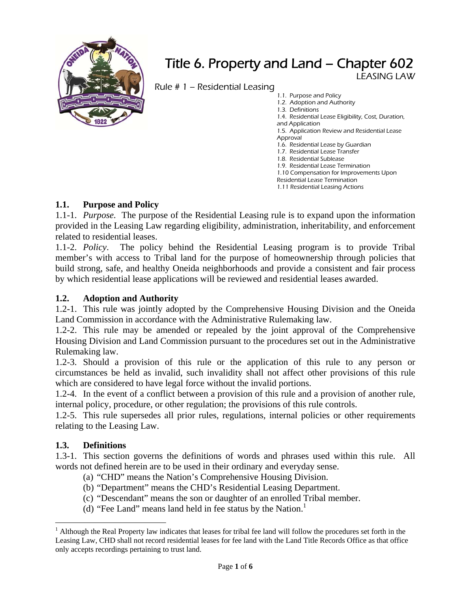

# Title 6. Property and Land – Chapter 602 LEASING LAW

Rule # 1 – Residential Leasing

1.1. Purpose and Policy 1.2. Adoption and Authority 1.3. Definitions 1.4. Residential Lease Eligibility, Cost, Duration, and Application 1.5. Application Review and Residential Lease Approval 1.6. Residential Lease by Guardian 1.7. Residential Lease Transfer 1.8. Residential Sublease 1.9. Residential Lease Termination 1.10 Compensation for Improvements Upon Residential Lease Termination

#### 1.11 Residential Leasing Actions

# **1.1. Purpose and Policy**

1.1-1. *Purpose.* The purpose of the Residential Leasing rule is to expand upon the information provided in the Leasing Law regarding eligibility, administration, inheritability, and enforcement related to residential leases.

1.1-2. *Policy*. The policy behind the Residential Leasing program is to provide Tribal member's with access to Tribal land for the purpose of homeownership through policies that build strong, safe, and healthy Oneida neighborhoods and provide a consistent and fair process by which residential lease applications will be reviewed and residential leases awarded.

# **1.2. Adoption and Authority**

1.2-1. This rule was jointly adopted by the Comprehensive Housing Division and the Oneida Land Commission in accordance with the Administrative Rulemaking law.

1.2-2. This rule may be amended or repealed by the joint approval of the Comprehensive Housing Division and Land Commission pursuant to the procedures set out in the Administrative Rulemaking law.

1.2-3. Should a provision of this rule or the application of this rule to any person or circumstances be held as invalid, such invalidity shall not affect other provisions of this rule which are considered to have legal force without the invalid portions.

1.2-4. In the event of a conflict between a provision of this rule and a provision of another rule, internal policy, procedure, or other regulation; the provisions of this rule controls.

1.2-5. This rule supersedes all prior rules, regulations, internal policies or other requirements relating to the Leasing Law.

# **1.3. Definitions**

 $\overline{a}$ 

1.3-1. This section governs the definitions of words and phrases used within this rule. All words not defined herein are to be used in their ordinary and everyday sense.

- (a) "CHD" means the Nation's Comprehensive Housing Division.
- (b) "Department" means the CHD's Residential Leasing Department.
- (c) "Descendant" means the son or daughter of an enrolled Tribal member.
- (d) "Fee Land" means land held in fee status by the Nation. $<sup>1</sup>$ </sup>

<sup>&</sup>lt;sup>1</sup> Although the Real Property law indicates that leases for tribal fee land will follow the procedures set forth in the Leasing Law, CHD shall not record residential leases for fee land with the Land Title Records Office as that office only accepts recordings pertaining to trust land.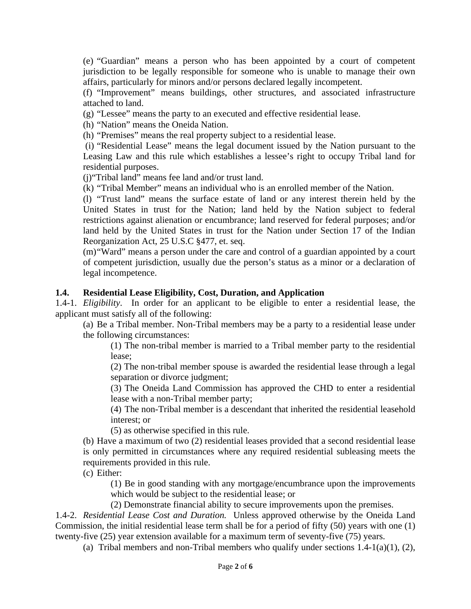(e) "Guardian" means a person who has been appointed by a court of competent jurisdiction to be legally responsible for someone who is unable to manage their own affairs, particularly for minors and/or persons declared legally incompetent.

(f) "Improvement" means buildings, other structures, and associated infrastructure attached to land.

(g) "Lessee" means the party to an executed and effective residential lease.

(h) "Nation" means the Oneida Nation.

(h) "Premises" means the real property subject to a residential lease.

 (i) "Residential Lease" means the legal document issued by the Nation pursuant to the Leasing Law and this rule which establishes a lessee's right to occupy Tribal land for residential purposes.

(j)"Tribal land" means fee land and/or trust land.

(k) "Tribal Member" means an individual who is an enrolled member of the Nation.

(l) "Trust land" means the surface estate of land or any interest therein held by the United States in trust for the Nation; land held by the Nation subject to federal restrictions against alienation or encumbrance; land reserved for federal purposes; and/or land held by the United States in trust for the Nation under Section 17 of the Indian Reorganization Act, 25 U.S.C §477, et. seq.

(m) "Ward" means a person under the care and control of a guardian appointed by a court of competent jurisdiction, usually due the person's status as a minor or a declaration of legal incompetence.

#### **1.4. Residential Lease Eligibility, Cost, Duration, and Application**

1.4-1. *Eligibility*. In order for an applicant to be eligible to enter a residential lease, the applicant must satisfy all of the following:

(a) Be a Tribal member. Non-Tribal members may be a party to a residential lease under the following circumstances:

(1) The non-tribal member is married to a Tribal member party to the residential lease;

(2) The non-tribal member spouse is awarded the residential lease through a legal separation or divorce judgment;

(3) The Oneida Land Commission has approved the CHD to enter a residential lease with a non-Tribal member party;

(4) The non-Tribal member is a descendant that inherited the residential leasehold interest; or

(5) as otherwise specified in this rule.

(b) Have a maximum of two (2) residential leases provided that a second residential lease is only permitted in circumstances where any required residential subleasing meets the requirements provided in this rule.

(c) Either:

(1) Be in good standing with any mortgage/encumbrance upon the improvements which would be subject to the residential lease; or

(2) Demonstrate financial ability to secure improvements upon the premises.

1.4-2. *Residential Lease Cost and Duration.* Unless approved otherwise by the Oneida Land Commission, the initial residential lease term shall be for a period of fifty (50) years with one (1) twenty-five (25) year extension available for a maximum term of seventy-five (75) years.

(a) Tribal members and non-Tribal members who qualify under sections  $1.4-1(a)(1)$ ,  $(2)$ ,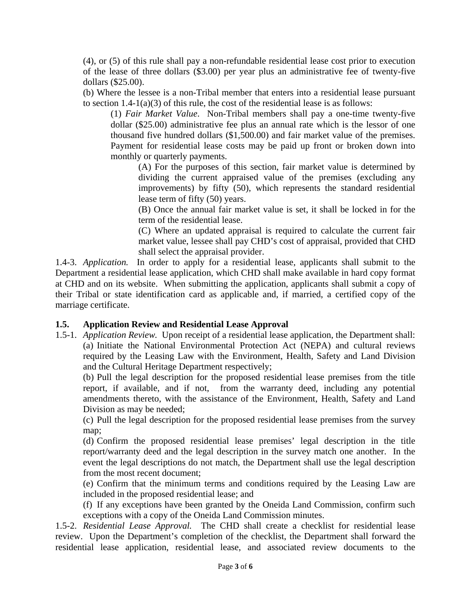(4), or (5) of this rule shall pay a non-refundable residential lease cost prior to execution of the lease of three dollars (\$3.00) per year plus an administrative fee of twenty-five dollars (\$25.00).

(b) Where the lessee is a non-Tribal member that enters into a residential lease pursuant to section  $1.4\n-1(a)(3)$  of this rule, the cost of the residential lease is as follows:

(1) *Fair Market Value*. Non-Tribal members shall pay a one-time twenty-five dollar (\$25.00) administrative fee plus an annual rate which is the lessor of one thousand five hundred dollars (\$1,500.00) and fair market value of the premises. Payment for residential lease costs may be paid up front or broken down into monthly or quarterly payments.

(A) For the purposes of this section, fair market value is determined by dividing the current appraised value of the premises (excluding any improvements) by fifty (50), which represents the standard residential lease term of fifty (50) years.

(B) Once the annual fair market value is set, it shall be locked in for the term of the residential lease.

(C) Where an updated appraisal is required to calculate the current fair market value, lessee shall pay CHD's cost of appraisal, provided that CHD shall select the appraisal provider.

1.4-3. *Application.* In order to apply for a residential lease, applicants shall submit to the Department a residential lease application, which CHD shall make available in hard copy format at CHD and on its website. When submitting the application, applicants shall submit a copy of their Tribal or state identification card as applicable and, if married, a certified copy of the marriage certificate.

### **1.5. Application Review and Residential Lease Approval**

1.5-1. *Application Review.* Upon receipt of a residential lease application, the Department shall: (a) Initiate the National Environmental Protection Act (NEPA) and cultural reviews required by the Leasing Law with the Environment, Health, Safety and Land Division and the Cultural Heritage Department respectively;

(b) Pull the legal description for the proposed residential lease premises from the title report, if available, and if not, from the warranty deed, including any potential amendments thereto, with the assistance of the Environment, Health, Safety and Land Division as may be needed;

(c) Pull the legal description for the proposed residential lease premises from the survey map;

(d) Confirm the proposed residential lease premises' legal description in the title report/warranty deed and the legal description in the survey match one another. In the event the legal descriptions do not match, the Department shall use the legal description from the most recent document;

(e) Confirm that the minimum terms and conditions required by the Leasing Law are included in the proposed residential lease; and

(f) If any exceptions have been granted by the Oneida Land Commission, confirm such exceptions with a copy of the Oneida Land Commission minutes.

1.5-2. *Residential Lease Approval.* The CHD shall create a checklist for residential lease review. Upon the Department's completion of the checklist, the Department shall forward the residential lease application, residential lease, and associated review documents to the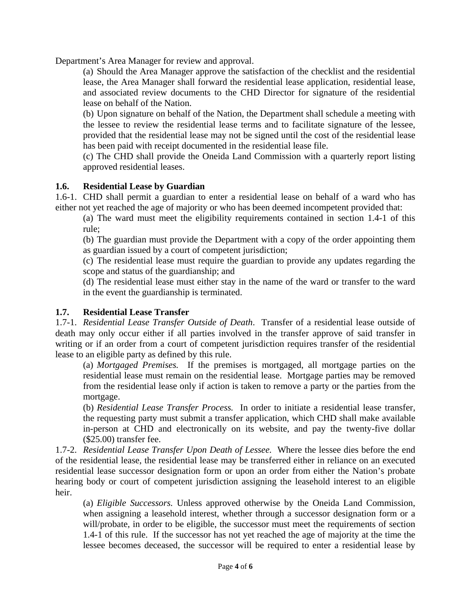Department's Area Manager for review and approval.

(a) Should the Area Manager approve the satisfaction of the checklist and the residential lease, the Area Manager shall forward the residential lease application, residential lease, and associated review documents to the CHD Director for signature of the residential lease on behalf of the Nation.

(b) Upon signature on behalf of the Nation, the Department shall schedule a meeting with the lessee to review the residential lease terms and to facilitate signature of the lessee, provided that the residential lease may not be signed until the cost of the residential lease has been paid with receipt documented in the residential lease file.

(c) The CHD shall provide the Oneida Land Commission with a quarterly report listing approved residential leases.

#### **1.6. Residential Lease by Guardian**

1.6-1. CHD shall permit a guardian to enter a residential lease on behalf of a ward who has either not yet reached the age of majority or who has been deemed incompetent provided that:

(a) The ward must meet the eligibility requirements contained in section 1.4-1 of this rule;

(b) The guardian must provide the Department with a copy of the order appointing them as guardian issued by a court of competent jurisdiction;

(c) The residential lease must require the guardian to provide any updates regarding the scope and status of the guardianship; and

(d) The residential lease must either stay in the name of the ward or transfer to the ward in the event the guardianship is terminated.

### **1.7. Residential Lease Transfer**

1.7-1. *Residential Lease Transfer Outside of Death*. Transfer of a residential lease outside of death may only occur either if all parties involved in the transfer approve of said transfer in writing or if an order from a court of competent jurisdiction requires transfer of the residential lease to an eligible party as defined by this rule.

(a) *Mortgaged Premises.* If the premises is mortgaged, all mortgage parties on the residential lease must remain on the residential lease. Mortgage parties may be removed from the residential lease only if action is taken to remove a party or the parties from the mortgage.

(b) *Residential Lease Transfer Process.* In order to initiate a residential lease transfer, the requesting party must submit a transfer application, which CHD shall make available in-person at CHD and electronically on its website, and pay the twenty-five dollar (\$25.00) transfer fee.

1.7-2. *Residential Lease Transfer Upon Death of Lessee.* Where the lessee dies before the end of the residential lease, the residential lease may be transferred either in reliance on an executed residential lease successor designation form or upon an order from either the Nation's probate hearing body or court of competent jurisdiction assigning the leasehold interest to an eligible heir.

(a) *Eligible Successors.* Unless approved otherwise by the Oneida Land Commission, when assigning a leasehold interest, whether through a successor designation form or a will/probate, in order to be eligible, the successor must meet the requirements of section 1.4-1 of this rule. If the successor has not yet reached the age of majority at the time the lessee becomes deceased, the successor will be required to enter a residential lease by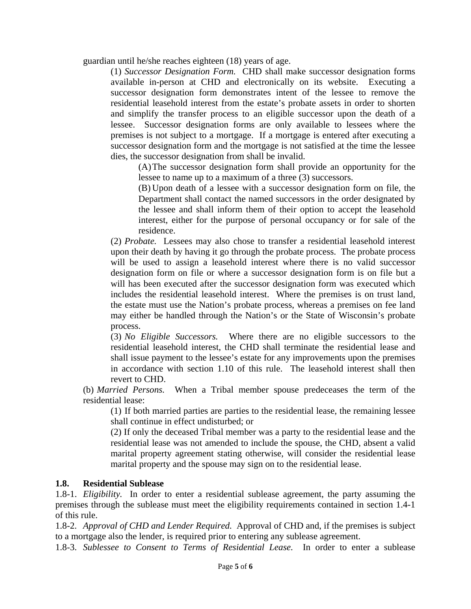guardian until he/she reaches eighteen (18) years of age.

(1) *Successor Designation Form.* CHD shall make successor designation forms available in-person at CHD and electronically on its website. Executing a successor designation form demonstrates intent of the lessee to remove the residential leasehold interest from the estate's probate assets in order to shorten and simplify the transfer process to an eligible successor upon the death of a lessee. Successor designation forms are only available to lessees where the premises is not subject to a mortgage. If a mortgage is entered after executing a successor designation form and the mortgage is not satisfied at the time the lessee dies, the successor designation from shall be invalid.

(A) The successor designation form shall provide an opportunity for the lessee to name up to a maximum of a three (3) successors.

(B) Upon death of a lessee with a successor designation form on file, the Department shall contact the named successors in the order designated by the lessee and shall inform them of their option to accept the leasehold interest, either for the purpose of personal occupancy or for sale of the residence.

(2) *Probate.* Lessees may also chose to transfer a residential leasehold interest upon their death by having it go through the probate process. The probate process will be used to assign a leasehold interest where there is no valid successor designation form on file or where a successor designation form is on file but a will has been executed after the successor designation form was executed which includes the residential leasehold interest. Where the premises is on trust land, the estate must use the Nation's probate process, whereas a premises on fee land may either be handled through the Nation's or the State of Wisconsin's probate process.

(3) *No Eligible Successors.* Where there are no eligible successors to the residential leasehold interest, the CHD shall terminate the residential lease and shall issue payment to the lessee's estate for any improvements upon the premises in accordance with section 1.10 of this rule. The leasehold interest shall then revert to CHD.

(b) *Married Persons.* When a Tribal member spouse predeceases the term of the residential lease:

(1) If both married parties are parties to the residential lease, the remaining lessee shall continue in effect undisturbed; or

(2) If only the deceased Tribal member was a party to the residential lease and the residential lease was not amended to include the spouse, the CHD, absent a valid marital property agreement stating otherwise, will consider the residential lease marital property and the spouse may sign on to the residential lease.

#### **1.8. Residential Sublease**

1.8-1. *Eligibility.* In order to enter a residential sublease agreement, the party assuming the premises through the sublease must meet the eligibility requirements contained in section 1.4-1 of this rule.

1.8-2. *Approval of CHD and Lender Required.* Approval of CHD and, if the premises is subject to a mortgage also the lender, is required prior to entering any sublease agreement.

1.8-3. *Sublessee to Consent to Terms of Residential Lease.* In order to enter a sublease